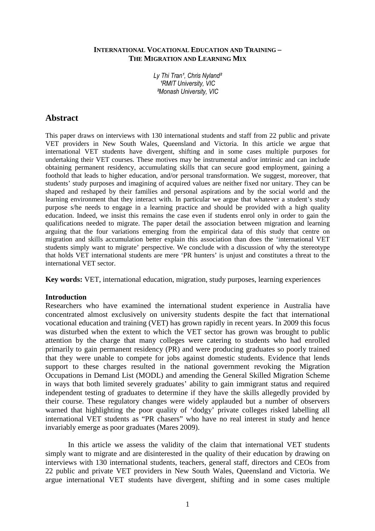## **INTERNATIONAL VOCATIONAL EDUCATION AND TRAINING – THE MIGRATION AND LEARNING MIX**

Ly Thi Tran<sup>1</sup>, Chris Nyland<sup>2</sup> **'RMIT University, VIC** ²Monash University, VIC

# **Abstract**

This paper draws on interviews with 130 international students and staff from 22 public and private VET providers in New South Wales, Queensland and Victoria. In this article we argue that international VET students have divergent, shifting and in some cases multiple purposes for undertaking their VET courses. These motives may be instrumental and/or intrinsic and can include obtaining permanent residency, accumulating skills that can secure good employment, gaining a foothold that leads to higher education, and/or personal transformation. We suggest, moreover, that students' study purposes and imagining of acquired values are neither fixed nor unitary. They can be shaped and reshaped by their families and personal aspirations and by the social world and the learning environment that they interact with. In particular we argue that whatever a student's study purpose s/he needs to engage in a learning practice and should be provided with a high quality education. Indeed, we insist this remains the case even if students enrol only in order to gain the qualifications needed to migrate. The paper detail the association between migration and learning arguing that the four variations emerging from the empirical data of this study that centre on migration and skills accumulation better explain this association than does the 'international VET students simply want to migrate' perspective. We conclude with a discussion of why the stereotype that holds VET international students are mere 'PR hunters' is unjust and constitutes a threat to the international VET sector.

**Key words:** VET, international education, migration, study purposes, learning experiences

# **Introduction**

Researchers who have examined the international student experience in Australia have concentrated almost exclusively on university students despite the fact that international vocational education and training (VET) has grown rapidly in recent years. In 2009 this focus was disturbed when the extent to which the VET sector has grown was brought to public attention by the charge that many colleges were catering to students who had enrolled primarily to gain permanent residency (PR) and were producing graduates so poorly trained that they were unable to compete for jobs against domestic students. Evidence that lends support to these charges resulted in the national government revoking the Migration Occupations in Demand List (MODL) and amending the General Skilled Migration Scheme in ways that both limited severely graduates' ability to gain immigrant status and required independent testing of graduates to determine if they have the skills allegedly provided by their course. These regulatory changes were widely applauded but a number of observers warned that highlighting the poor quality of 'dodgy' private colleges risked labelling all international VET students as "PR chasers" who have no real interest in study and hence invariably emerge as poor graduates (Mares 2009).

 In this article we assess the validity of the claim that international VET students simply want to migrate and are disinterested in the quality of their education by drawing on interviews with 130 international students, teachers, general staff, directors and CEOs from 22 public and private VET providers in New South Wales, Queensland and Victoria. We argue international VET students have divergent, shifting and in some cases multiple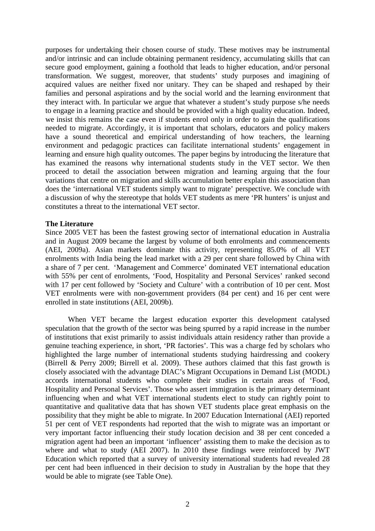purposes for undertaking their chosen course of study. These motives may be instrumental and/or intrinsic and can include obtaining permanent residency, accumulating skills that can secure good employment, gaining a foothold that leads to higher education, and/or personal transformation. We suggest, moreover, that students' study purposes and imagining of acquired values are neither fixed nor unitary. They can be shaped and reshaped by their families and personal aspirations and by the social world and the learning environment that they interact with. In particular we argue that whatever a student's study purpose s/he needs to engage in a learning practice and should be provided with a high quality education. Indeed, we insist this remains the case even if students enrol only in order to gain the qualifications needed to migrate. Accordingly, it is important that scholars, educators and policy makers have a sound theoretical and empirical understanding of how teachers, the learning environment and pedagogic practices can facilitate international students' engagement in learning and ensure high quality outcomes. The paper begins by introducing the literature that has examined the reasons why international students study in the VET sector. We then proceed to detail the association between migration and learning arguing that the four variations that centre on migration and skills accumulation better explain this association than does the 'international VET students simply want to migrate' perspective. We conclude with a discussion of why the stereotype that holds VET students as mere 'PR hunters' is unjust and constitutes a threat to the international VET sector.

### **The Literature**

Since 2005 VET has been the fastest growing sector of international education in Australia and in August 2009 became the largest by volume of both enrolments and commencements (AEI, 2009a). Asian markets dominate this activity, representing 85.0% of all VET enrolments with India being the lead market with a 29 per cent share followed by China with a share of 7 per cent. 'Management and Commerce' dominated VET international education with 55% per cent of enrolments, 'Food, Hospitality and Personal Services' ranked second with 17 per cent followed by 'Society and Culture' with a contribution of 10 per cent. Most VET enrolments were with non-government providers (84 per cent) and 16 per cent were enrolled in state institutions (AEI, 2009b).

 When VET became the largest education exporter this development catalysed speculation that the growth of the sector was being spurred by a rapid increase in the number of institutions that exist primarily to assist individuals attain residency rather than provide a genuine teaching experience, in short, 'PR factories'. This was a charge fed by scholars who highlighted the large number of international students studying hairdressing and cookery (Birrell & Perry 2009; Birrell et al. 2009). These authors claimed that this fast growth is closely associated with the advantage DIAC's Migrant Occupations in Demand List (MODL) accords international students who complete their studies in certain areas of 'Food, Hospitality and Personal Services'. Those who assert immigration is the primary determinant influencing when and what VET international students elect to study can rightly point to quantitative and qualitative data that has shown VET students place great emphasis on the possibility that they might be able to migrate. In 2007 Education International (AEI) reported 51 per cent of VET respondents had reported that the wish to migrate was an important or very important factor influencing their study location decision and 38 per cent conceded a migration agent had been an important 'influencer' assisting them to make the decision as to where and what to study (AEI 2007). In 2010 these findings were reinforced by JWT Education which reported that a survey of university international students had revealed 28 per cent had been influenced in their decision to study in Australian by the hope that they would be able to migrate (see Table One).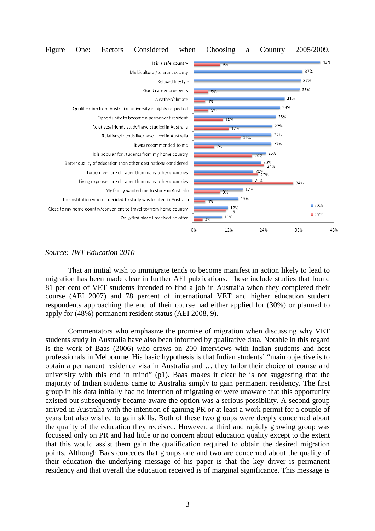

### *Source: JWT Education 2010*

 That an initial wish to immigrate tends to become manifest in action likely to lead to migration has been made clear in further AEI publications. These include studies that found 81 per cent of VET students intended to find a job in Australia when they completed their course (AEI 2007) and 78 percent of international VET and higher education student respondents approaching the end of their course had either applied for (30%) or planned to apply for (48%) permanent resident status (AEI 2008, 9).

 Commentators who emphasize the promise of migration when discussing why VET students study in Australia have also been informed by qualitative data. Notable in this regard is the work of Baas (2006) who draws on 200 interviews with Indian students and host professionals in Melbourne. His basic hypothesis is that Indian students' "main objective is to obtain a permanent residence visa in Australia and … they tailor their choice of course and university with this end in mind" (p1). Baas makes it clear he is not suggesting that the majority of Indian students came to Australia simply to gain permanent residency. The first group in his data initially had no intention of migrating or were unaware that this opportunity existed but subsequently became aware the option was a serious possibility. A second group arrived in Australia with the intention of gaining PR or at least a work permit for a couple of years but also wished to gain skills. Both of these two groups were deeply concerned about the quality of the education they received. However, a third and rapidly growing group was focussed only on PR and had little or no concern about education quality except to the extent that this would assist them gain the qualification required to obtain the desired migration points. Although Baas concedes that groups one and two are concerned about the quality of their education the underlying message of his paper is that the key driver is permanent residency and that overall the education received is of marginal significance. This message is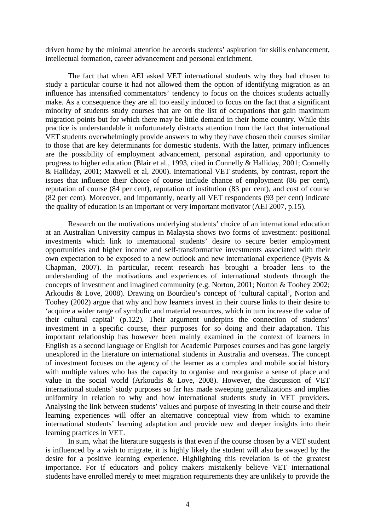driven home by the minimal attention he accords students' aspiration for skills enhancement, intellectual formation, career advancement and personal enrichment.

 The fact that when AEI asked VET international students why they had chosen to study a particular course it had not allowed them the option of identifying migration as an influence has intensified commentators' tendency to focus on the choices students actually make. As a consequence they are all too easily induced to focus on the fact that a significant minority of students study courses that are on the list of occupations that gain maximum migration points but for which there may be little demand in their home country. While this practice is understandable it unfortunately distracts attention from the fact that international VET students overwhelmingly provide answers to why they have chosen their courses similar to those that are key determinants for domestic students. With the latter, primary influences are the possibility of employment advancement, personal aspiration, and opportunity to progress to higher education (Blair et al., 1993, cited in Connelly & Halliday, 2001; Connelly & Halliday, 2001; Maxwell et al, 2000). International VET students, by contrast, report the issues that influence their choice of course include chance of employment (86 per cent), reputation of course (84 per cent), reputation of institution (83 per cent), and cost of course (82 per cent). Moreover, and importantly, nearly all VET respondents (93 per cent) indicate the quality of education is an important or very important motivator (AEI 2007, p.15).

Research on the motivations underlying students' choice of an international education at an Australian University campus in Malaysia shows two forms of investment: positional investments which link to international students' desire to secure better employment opportunities and higher income and self-transformative investments associated with their own expectation to be exposed to a new outlook and new international experience (Pyvis & Chapman, 2007). In particular, recent research has brought a broader lens to the understanding of the motivations and experiences of international students through the concepts of investment and imagined community (e.g. Norton, 2001; Norton & Toohey 2002; Arkoudis & Love, 2008). Drawing on Bourdieu's concept of 'cultural capital', Norton and Toohey (2002) argue that why and how learners invest in their course links to their desire to 'acquire a wider range of symbolic and material resources, which in turn increase the value of their cultural capital' (p.122). Their argument underpins the connection of students' investment in a specific course, their purposes for so doing and their adaptation. This important relationship has however been mainly examined in the context of learners in English as a second language or English for Academic Purposes courses and has gone largely unexplored in the literature on international students in Australia and overseas. The concept of investment focuses on the agency of the learner as a complex and mobile social history with multiple values who has the capacity to organise and reorganise a sense of place and value in the social world (Arkoudis & Love, 2008). However, the discussion of VET international students' study purposes so far has made sweeping generalizations and implies uniformity in relation to why and how international students study in VET providers. Analysing the link between students' values and purpose of investing in their course and their learning experiences will offer an alternative conceptual view from which to examine international students' learning adaptation and provide new and deeper insights into their learning practices in VET.

In sum, what the literature suggests is that even if the course chosen by a VET student is influenced by a wish to migrate, it is highly likely the student will also be swayed by the desire for a positive learning experience. Highlighting this revelation is of the greatest importance. For if educators and policy makers mistakenly believe VET international students have enrolled merely to meet migration requirements they are unlikely to provide the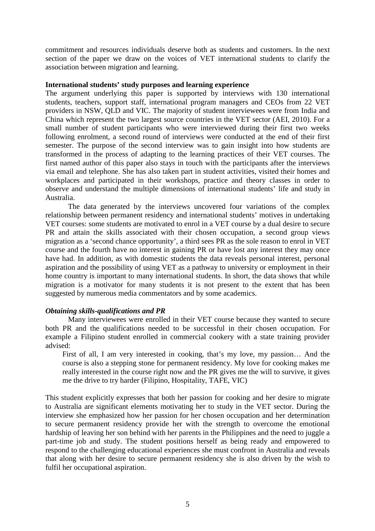commitment and resources individuals deserve both as students and customers. In the next section of the paper we draw on the voices of VET international students to clarify the association between migration and learning.

## **International students' study purposes and learning experience**

The argument underlying this paper is supported by interviews with 130 international students, teachers, support staff, international program managers and CEOs from 22 VET providers in NSW, QLD and VIC. The majority of student interviewees were from India and China which represent the two largest source countries in the VET sector (AEI, 2010). For a small number of student participants who were interviewed during their first two weeks following enrolment, a second round of interviews were conducted at the end of their first semester. The purpose of the second interview was to gain insight into how students are transformed in the process of adapting to the learning practices of their VET courses. The first named author of this paper also stays in touch with the participants after the interviews via email and telephone. She has also taken part in student activities, visited their homes and workplaces and participated in their workshops, practice and theory classes in order to observe and understand the multiple dimensions of international students' life and study in Australia.

 The data generated by the interviews uncovered four variations of the complex relationship between permanent residency and international students' motives in undertaking VET courses: some students are motivated to enrol in a VET course by a dual desire to secure PR and attain the skills associated with their chosen occupation, a second group views migration as a 'second chance opportunity', a third sees PR as the sole reason to enrol in VET course and the fourth have no interest in gaining PR or have lost any interest they may once have had. In addition, as with domestic students the data reveals personal interest, personal aspiration and the possibility of using VET as a pathway to university or employment in their home country is important to many international students. In short, the data shows that while migration is a motivator for many students it is not present to the extent that has been suggested by numerous media commentators and by some academics.

# *Obtaining skills-qualifications and PR*

 Many interviewees were enrolled in their VET course because they wanted to secure both PR and the qualifications needed to be successful in their chosen occupation. For example a Filipino student enrolled in commercial cookery with a state training provider advised:

First of all, I am very interested in cooking, that's my love, my passion… And the course is also a stepping stone for permanent residency. My love for cooking makes me really interested in the course right now and the PR gives me the will to survive, it gives me the drive to try harder (Filipino, Hospitality, TAFE, VIC)

This student explicitly expresses that both her passion for cooking and her desire to migrate to Australia are significant elements motivating her to study in the VET sector. During the interview she emphasized how her passion for her chosen occupation and her determination to secure permanent residency provide her with the strength to overcome the emotional hardship of leaving her son behind with her parents in the Philippines and the need to juggle a part-time job and study. The student positions herself as being ready and empowered to respond to the challenging educational experiences she must confront in Australia and reveals that along with her desire to secure permanent residency she is also driven by the wish to fulfil her occupational aspiration.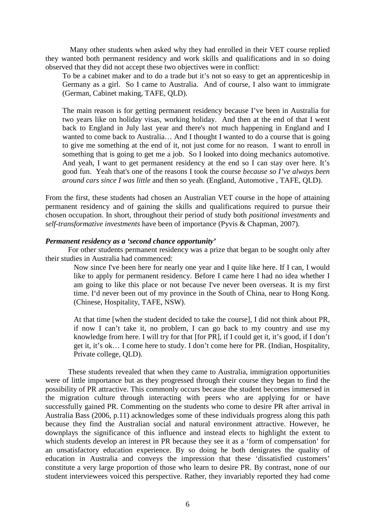Many other students when asked why they had enrolled in their VET course replied they wanted both permanent residency and work skills and qualifications and in so doing observed that they did not accept these two objectives were in conflict:

To be a cabinet maker and to do a trade but it's not so easy to get an apprenticeship in Germany as a girl. So I came to Australia. And of course, I also want to immigrate (German, Cabinet making, TAFE, QLD).

The main reason is for getting permanent residency because I've been in Australia for two years like on holiday visas, working holiday. And then at the end of that I went back to England in July last year and there's not much happening in England and I wanted to come back to Australia… And I thought I wanted to do a course that is going to give me something at the end of it, not just come for no reason. I want to enroll in something that is going to get me a job. So I looked into doing mechanics automotive. And yeah, I want to get permanent residency at the end so I can stay over here. It's good fun. Yeah that's one of the reasons I took the course *because so I've always been around cars since I was little* and then so yeah. (England, Automotive , TAFE, QLD).

From the first, these students had chosen an Australian VET course in the hope of attaining permanent residency and of gaining the skills and qualifications required to pursue their chosen occupation. In short, throughout their period of study both *positional investments* and *self-transformative investments* have been of importance (Pyvis & Chapman, 2007).

## *Permanent residency as a 'second chance opportunity'*

 For other students permanent residency was a prize that began to be sought only after their studies in Australia had commenced:

> Now since I've been here for nearly one year and I quite like here. If I can, I would like to apply for permanent residency. Before I came here I had no idea whether I am going to like this place or not because I've never been overseas. It is my first time. I'd never been out of my province in the South of China, near to Hong Kong. (Chinese, Hospitality, TAFE, NSW).

> At that time [when the student decided to take the course], I did not think about PR, if now I can't take it, no problem, I can go back to my country and use my knowledge from here. I will try for that [for PR], if I could get it, it's good, if I don't get it, it's ok… I come here to study. I don't come here for PR. (Indian, Hospitality, Private college, QLD).

 These students revealed that when they came to Australia, immigration opportunities were of little importance but as they progressed through their course they began to find the possibility of PR attractive. This commonly occurs because the student becomes immersed in the migration culture through interacting with peers who are applying for or have successfully gained PR. Commenting on the students who come to desire PR after arrival in Australia Bass (2006, p.11) acknowledges some of these individuals progress along this path because they find the Australian social and natural environment attractive. However, he downplays the significance of this influence and instead elects to highlight the extent to which students develop an interest in PR because they see it as a 'form of compensation' for an unsatisfactory education experience. By so doing he both denigrates the quality of education in Australia and conveys the impression that these 'dissatisfied customers' constitute a very large proportion of those who learn to desire PR. By contrast, none of our student interviewees voiced this perspective. Rather, they invariably reported they had come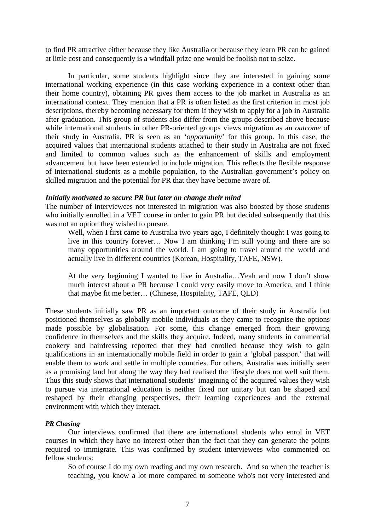to find PR attractive either because they like Australia or because they learn PR can be gained at little cost and consequently is a windfall prize one would be foolish not to seize.

 In particular, some students highlight since they are interested in gaining some international working experience (in this case working experience in a context other than their home country), obtaining PR gives them access to the job market in Australia as an international context. They mention that a PR is often listed as the first criterion in most job descriptions, thereby becoming necessary for them if they wish to apply for a job in Australia after graduation. This group of students also differ from the groups described above because while international students in other PR-oriented groups views migration as an *outcome* of their study in Australia, PR is seen as an '*opportunity*' for this group. In this case, the acquired values that international students attached to their study in Australia are not fixed and limited to common values such as the enhancement of skills and employment advancement but have been extended to include migration. This reflects the flexible response of international students as a mobile population, to the Australian government's policy on skilled migration and the potential for PR that they have become aware of.

## *Initially motivated to secure PR but later on change their mind*

The number of interviewees not interested in migration was also boosted by those students who initially enrolled in a VET course in order to gain PR but decided subsequently that this was not an option they wished to pursue.

Well, when I first came to Australia two years ago, I definitely thought I was going to live in this country forever… Now I am thinking I'm still young and there are so many opportunities around the world. I am going to travel around the world and actually live in different countries (Korean, Hospitality, TAFE, NSW).

At the very beginning I wanted to live in Australia…Yeah and now I don't show much interest about a PR because I could very easily move to America, and I think that maybe fit me better… (Chinese, Hospitality, TAFE, QLD)

These students initially saw PR as an important outcome of their study in Australia but positioned themselves as globally mobile individuals as they came to recognise the options made possible by globalisation. For some, this change emerged from their growing confidence in themselves and the skills they acquire. Indeed, many students in commercial cookery and hairdressing reported that they had enrolled because they wish to gain qualifications in an internationally mobile field in order to gain a 'global passport' that will enable them to work and settle in multiple countries. For others, Australia was initially seen as a promising land but along the way they had realised the lifestyle does not well suit them. Thus this study shows that international students' imagining of the acquired values they wish to pursue via international education is neither fixed nor unitary but can be shaped and reshaped by their changing perspectives, their learning experiences and the external environment with which they interact.

#### *PR Chasing*

 Our interviews confirmed that there are international students who enrol in VET courses in which they have no interest other than the fact that they can generate the points required to immigrate. This was confirmed by student interviewees who commented on fellow students:

So of course I do my own reading and my own research. And so when the teacher is teaching, you know a lot more compared to someone who's not very interested and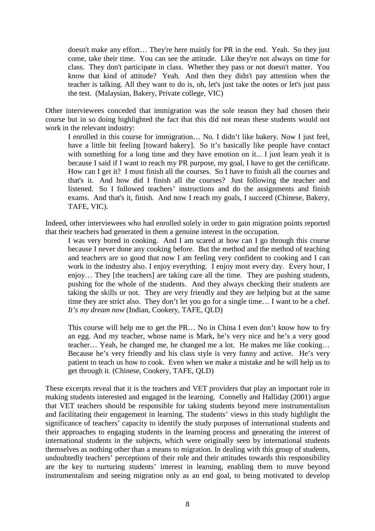doesn't make any effort… They're here mainly for PR in the end. Yeah. So they just come, take their time. You can see the attitude. Like they're not always on time for class. They don't participate in class. Whether they pass or not doesn't matter. You know that kind of attitude? Yeah. And then they didn't pay attention when the teacher is talking. All they want to do is, oh, let's just take the notes or let's just pass the test. (Malaysian, Bakery, Private college, VIC)

Other interviewees conceded that immigration was the sole reason they had chosen their course but in so doing highlighted the fact that this did not mean these students would not work in the relevant industry:

I enrolled in this course for immigration… No. I didn't like bakery. Now I just feel, have a little bit feeling [toward bakery]. So it's basically like people have contact with something for a long time and they have emotion on it... I just learn yeah it is because I said if I want to reach my PR purpose, my goal, I have to get the certificate. How can I get it? I must finish all the courses. So I have to finish all the courses and that's it. And how did I finish all the courses? Just following the teacher and listened. So I followed teachers' instructions and do the assignments and finish exams. And that's it, finish. And now I reach my goals, I succeed (Chinese, Bakery, TAFE, VIC).

Indeed, other interviewees who had enrolled solely in order to gain migration points reported that their teachers had generated in them a genuine interest in the occupation.

I was very bored in cooking. And I am scared at how can I go through this course because I never done any cooking before. But the method and the method of teaching and teachers are so good that now I am feeling very confident to cooking and I can work in the industry also. I enjoy everything. I enjoy most every day. Every hour, I enjoy… They [the teachers] are taking care all the time. They are pushing students, pushing for the whole of the students. And they always checking their students are taking the skills or not. They are very friendly and they are helping but at the same time they are strict also. They don't let you go for a single time… I want to be a chef. *It's my dream now* (Indian, Cookery, TAFE, QLD)

This course will help me to get the PR… No in China I even don't know how to fry an egg. And my teacher, whose name is Mark, he's very nice and he's a very good teacher… Yeah, he changed me, he changed me a lot. He makes me like cooking… Because he's very friendly and his class style is very funny and active. He's very patient to teach us how to cook. Even when we make a mistake and he will help us to get through it. (Chinese, Cookery, TAFE, QLD)

These excerpts reveal that it is the teachers and VET providers that play an important role in making students interested and engaged in the learning. Connelly and Halliday (2001) argue that VET teachers should be responsible for taking students beyond mere instrumentalism and facilitating their engagement in learning. The students' views in this study highlight the significance of teachers' capacity to identify the study purposes of international students and their approaches to engaging students in the learning process and generating the interest of international students in the subjects, which were originally seen by international students themselves as nothing other than a means to migration. In dealing with this group of students, undoubtedly teachers' perceptions of their role and their attitudes towards this responsibility are the key to nurturing students' interest in learning, enabling them to move beyond instrumentalism and seeing migration only as an end goal, to being motivated to develop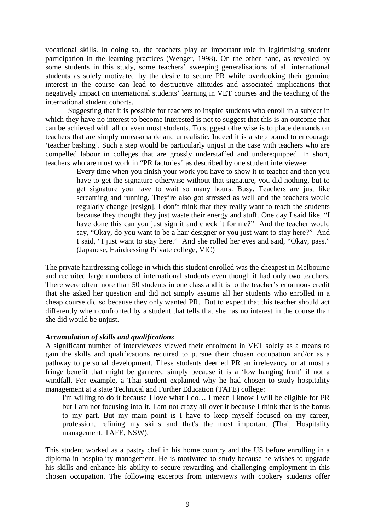vocational skills. In doing so, the teachers play an important role in legitimising student participation in the learning practices (Wenger, 1998). On the other hand, as revealed by some students in this study, some teachers' sweeping generalisations of all international students as solely motivated by the desire to secure PR while overlooking their genuine interest in the course can lead to destructive attitudes and associated implications that negatively impact on international students' learning in VET courses and the teaching of the international student cohorts.

 Suggesting that it is possible for teachers to inspire students who enroll in a subject in which they have no interest to become interested is not to suggest that this is an outcome that can be achieved with all or even most students. To suggest otherwise is to place demands on teachers that are simply unreasonable and unrealistic. Indeed it is a step bound to encourage 'teacher bashing'. Such a step would be particularly unjust in the case with teachers who are compelled labour in colleges that are grossly understaffed and underequipped. In short, teachers who are must work in "PR factories" as described by one student interviewee:

> Every time when you finish your work you have to show it to teacher and then you have to get the signature otherwise without that signature, you did nothing, but to get signature you have to wait so many hours. Busy. Teachers are just like screaming and running. They're also got stressed as well and the teachers would regularly change [resign]. I don't think that they really want to teach the students because they thought they just waste their energy and stuff. One day I said like, "I have done this can you just sign it and check it for me?" And the teacher would say, "Okay, do you want to be a hair designer or you just want to stay here?" And I said, "I just want to stay here." And she rolled her eyes and said, "Okay, pass." (Japanese, Hairdressing Private college, VIC)

The private hairdressing college in which this student enrolled was the cheapest in Melbourne and recruited large numbers of international students even though it had only two teachers. There were often more than 50 students in one class and it is to the teacher's enormous credit that she asked her question and did not simply assume all her students who enrolled in a cheap course did so because they only wanted PR. But to expect that this teacher should act differently when confronted by a student that tells that she has no interest in the course than she did would be unjust.

# *Accumulation of skills and qualifications*

A significant number of interviewees viewed their enrolment in VET solely as a means to gain the skills and qualifications required to pursue their chosen occupation and/or as a pathway to personal development. These students deemed PR an irrelevancy or at most a fringe benefit that might be garnered simply because it is a 'low hanging fruit' if not a windfall. For example, a Thai student explained why he had chosen to study hospitality management at a state Technical and Further Education (TAFE) college:

I'm willing to do it because I love what I do… I mean I know I will be eligible for PR but I am not focusing into it. I am not crazy all over it because I think that is the bonus to my part. But my main point is I have to keep myself focused on my career, profession, refining my skills and that's the most important (Thai, Hospitality management, TAFE, NSW).

This student worked as a pastry chef in his home country and the US before enrolling in a diploma in hospitality management. He is motivated to study because he wishes to upgrade his skills and enhance his ability to secure rewarding and challenging employment in this chosen occupation. The following excerpts from interviews with cookery students offer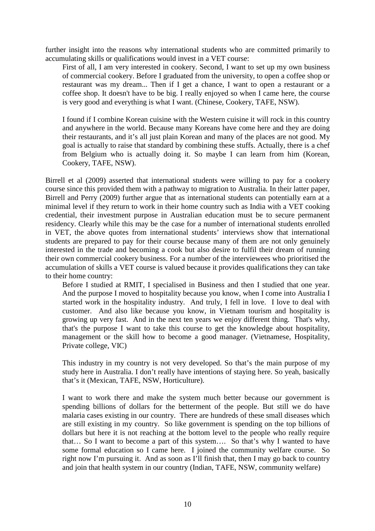further insight into the reasons why international students who are committed primarily to accumulating skills or qualifications would invest in a VET course:

First of all, I am very interested in cookery. Second, I want to set up my own business of commercial cookery. Before I graduated from the university, to open a coffee shop or restaurant was my dream... Then if I get a chance, I want to open a restaurant or a coffee shop. It doesn't have to be big. I really enjoyed so when I came here, the course is very good and everything is what I want. (Chinese, Cookery, TAFE, NSW).

I found if I combine Korean cuisine with the Western cuisine it will rock in this country and anywhere in the world. Because many Koreans have come here and they are doing their restaurants, and it's all just plain Korean and many of the places are not good. My goal is actually to raise that standard by combining these stuffs. Actually, there is a chef from Belgium who is actually doing it. So maybe I can learn from him (Korean, Cookery, TAFE, NSW).

Birrell et al (2009) asserted that international students were willing to pay for a cookery course since this provided them with a pathway to migration to Australia. In their latter paper, Birrell and Perry (2009) further argue that as international students can potentially earn at a minimal level if they return to work in their home country such as India with a VET cooking credential, their investment purpose in Australian education must be to secure permanent residency. Clearly while this may be the case for a number of international students enrolled in VET, the above quotes from international students' interviews show that international students are prepared to pay for their course because many of them are not only genuinely interested in the trade and becoming a cook but also desire to fulfil their dream of running their own commercial cookery business. For a number of the interviewees who prioritised the accumulation of skills a VET course is valued because it provides qualifications they can take to their home country:

 Before I studied at RMIT, I specialised in Business and then I studied that one year. And the purpose I moved to hospitality because you know, when I come into Australia I started work in the hospitality industry. And truly, I fell in love. I love to deal with customer. And also like because you know, in Vietnam tourism and hospitality is growing up very fast. And in the next ten years we enjoy different thing. That's why, that's the purpose I want to take this course to get the knowledge about hospitality, management or the skill how to become a good manager. (Vietnamese, Hospitality, Private college, VIC)

 This industry in my country is not very developed. So that's the main purpose of my study here in Australia. I don't really have intentions of staying here. So yeah, basically that's it (Mexican, TAFE, NSW, Horticulture).

 I want to work there and make the system much better because our government is spending billions of dollars for the betterment of the people. But still we do have malaria cases existing in our country. There are hundreds of these small diseases which are still existing in my country. So like government is spending on the top billions of dollars but here it is not reaching at the bottom level to the people who really require that… So I want to become a part of this system…. So that's why I wanted to have some formal education so I came here. I joined the community welfare course. So right now I'm pursuing it. And as soon as I'll finish that, then I may go back to country and join that health system in our country (Indian, TAFE, NSW, community welfare)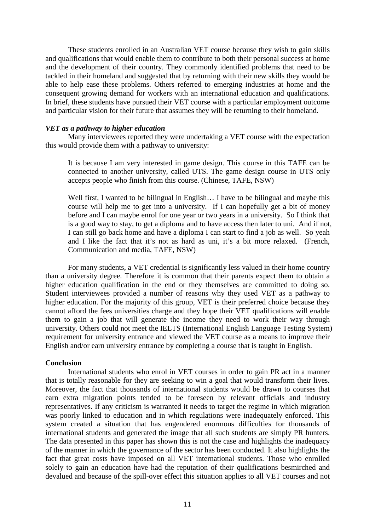These students enrolled in an Australian VET course because they wish to gain skills and qualifications that would enable them to contribute to both their personal success at home and the development of their country. They commonly identified problems that need to be tackled in their homeland and suggested that by returning with their new skills they would be able to help ease these problems. Others referred to emerging industries at home and the consequent growing demand for workers with an international education and qualifications. In brief, these students have pursued their VET course with a particular employment outcome and particular vision for their future that assumes they will be returning to their homeland.

## *VET as a pathway to higher education*

 Many interviewees reported they were undertaking a VET course with the expectation this would provide them with a pathway to university:

It is because I am very interested in game design. This course in this TAFE can be connected to another university, called UTS. The game design course in UTS only accepts people who finish from this course. (Chinese, TAFE, NSW)

Well first, I wanted to be bilingual in English... I have to be bilingual and maybe this course will help me to get into a university. If I can hopefully get a bit of money before and I can maybe enrol for one year or two years in a university. So I think that is a good way to stay, to get a diploma and to have access then later to uni. And if not, I can still go back home and have a diploma I can start to find a job as well. So yeah and I like the fact that it's not as hard as uni, it's a bit more relaxed. (French, Communication and media, TAFE, NSW)

 For many students, a VET credential is significantly less valued in their home country than a university degree. Therefore it is common that their parents expect them to obtain a higher education qualification in the end or they themselves are committed to doing so. Student interviewees provided a number of reasons why they used VET as a pathway to higher education. For the majority of this group, VET is their preferred choice because they cannot afford the fees universities charge and they hope their VET qualifications will enable them to gain a job that will generate the income they need to work their way through university. Others could not meet the IELTS (International English Language Testing System) requirement for university entrance and viewed the VET course as a means to improve their English and/or earn university entrance by completing a course that is taught in English.

### **Conclusion**

 International students who enrol in VET courses in order to gain PR act in a manner that is totally reasonable for they are seeking to win a goal that would transform their lives. Moreover, the fact that thousands of international students would be drawn to courses that earn extra migration points tended to be foreseen by relevant officials and industry representatives. If any criticism is warranted it needs to target the regime in which migration was poorly linked to education and in which regulations were inadequately enforced. This system created a situation that has engendered enormous difficulties for thousands of international students and generated the image that all such students are simply PR hunters. The data presented in this paper has shown this is not the case and highlights the inadequacy of the manner in which the governance of the sector has been conducted. It also highlights the fact that great costs have imposed on all VET international students. Those who enrolled solely to gain an education have had the reputation of their qualifications besmirched and devalued and because of the spill-over effect this situation applies to all VET courses and not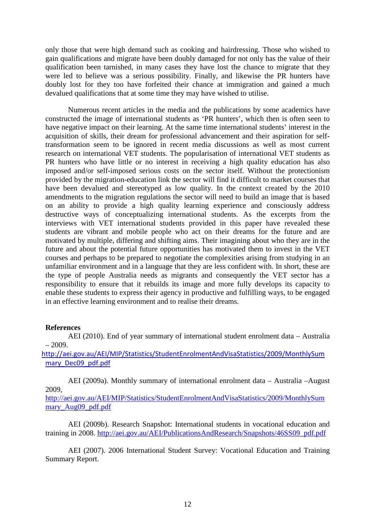only those that were high demand such as cooking and hairdressing. Those who wished to gain qualifications and migrate have been doubly damaged for not only has the value of their qualification been tarnished, in many cases they have lost the chance to migrate that they were led to believe was a serious possibility. Finally, and likewise the PR hunters have doubly lost for they too have forfeited their chance at immigration and gained a much devalued qualifications that at some time they may have wished to utilise.

 Numerous recent articles in the media and the publications by some academics have constructed the image of international students as 'PR hunters', which then is often seen to have negative impact on their learning. At the same time international students' interest in the acquisition of skills, their dream for professional advancement and their aspiration for selftransformation seem to be ignored in recent media discussions as well as most current research on international VET students. The popularisation of international VET students as PR hunters who have little or no interest in receiving a high quality education has also imposed and/or self-imposed serious costs on the sector itself. Without the protectionism provided by the migration-education link the sector will find it difficult to market courses that have been devalued and stereotyped as low quality. In the context created by the 2010 amendments to the migration regulations the sector will need to build an image that is based on an ability to provide a high quality learning experience and consciously address destructive ways of conceptualizing international students. As the excerpts from the interviews with VET international students provided in this paper have revealed these students are vibrant and mobile people who act on their dreams for the future and are motivated by multiple, differing and shifting aims. Their imagining about who they are in the future and about the potential future opportunities has motivated them to invest in the VET courses and perhaps to be prepared to negotiate the complexities arising from studying in an unfamiliar environment and in a language that they are less confident with. In short, these are the type of people Australia needs as migrants and consequently the VET sector has a responsibility to ensure that it rebuilds its image and more fully develops its capacity to enable these students to express their agency in productive and fulfilling ways, to be engaged in an effective learning environment and to realise their dreams.

# **References**

 AEI (2010). End of year summary of international student enrolment data – Australia  $-2009.$ 

http://aei.gov.au/AEI/MIP/Statistics/StudentEnrolmentAndVisaStatistics/2009/MonthlySum mary\_Dec09\_pdf.pdf

 AEI (2009a). Monthly summary of international enrolment data – Australia –August 2009,

http://aei.gov.au/AEI/MIP/Statistics/StudentEnrolmentAndVisaStatistics/2009/MonthlySum mary\_Aug09\_pdf.pdf

 AEI (2009b). Research Snapshot: International students in vocational education and training in 2008. http://aei.gov.au/AEI/PublicationsAndResearch/Snapshots/46SS09\_pdf.pdf

 AEI (2007). 2006 International Student Survey: Vocational Education and Training Summary Report.